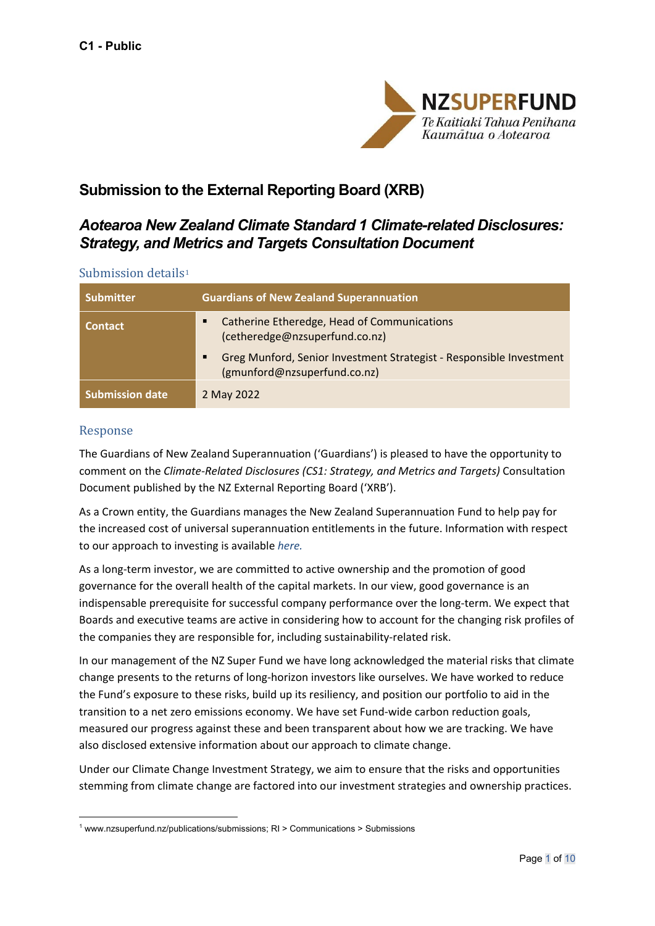

# **Submission to the External Reporting Board (XRB)**

# *Aotearoa New Zealand Climate Standard 1 Climate-related Disclosures: Strategy, and Metrics and Targets Consultation Document*

#### Submission details<sup>[1](#page-0-0)</sup>

| <b>Submitter</b>       | <b>Guardians of New Zealand Superannuation</b>                                                      |
|------------------------|-----------------------------------------------------------------------------------------------------|
| <b>Contact</b>         | Catherine Etheredge, Head of Communications<br>(cetheredge@nzsuperfund.co.nz)                       |
|                        | Greg Munford, Senior Investment Strategist - Responsible Investment<br>(gmunford@nzsuperfund.co.nz) |
| <b>Submission date</b> | 2 May 2022                                                                                          |

### Response

The Guardians of New Zealand Superannuation ('Guardians') is pleased to have the opportunity to comment on the *Climate-Related Disclosures (CS1: Strategy, and Metrics and Targets)* Consultation Document published by the NZ External Reporting Board ('XRB').

As a Crown entity, the Guardians manages the New Zealand Superannuation Fund to help pay for the increased cost of universal superannuation entitlements in the future. Information with respect to our approach to investing is available *[here.](https://nzsuperfund.nz/investing-nz)*

As a long-term investor, we are committed to active ownership and the promotion of good governance for the overall health of the capital markets. In our view, good governance is an indispensable prerequisite for successful company performance over the long-term. We expect that Boards and executive teams are active in considering how to account for the changing risk profiles of the companies they are responsible for, including sustainability-related risk.

In our management of the NZ Super Fund we have long acknowledged the material risks that climate change presents to the returns of long-horizon investors like ourselves. We have worked to reduce the Fund's exposure to these risks, build up its resiliency, and position our portfolio to aid in the transition to a net zero emissions economy. We have set Fund-wide carbon reduction goals, measured our progress against these and been transparent about how we are tracking. We have also disclosed extensive information about our approach to climate change.

Under our Climate Change Investment Strategy, we aim to ensure that the risks and opportunities stemming from climate change are factored into our investment strategies and ownership practices.

<span id="page-0-0"></span><sup>&</sup>lt;sup>1</sup> www.nzsuperfund.nz/publications/submissions; RI > Communications > Submissions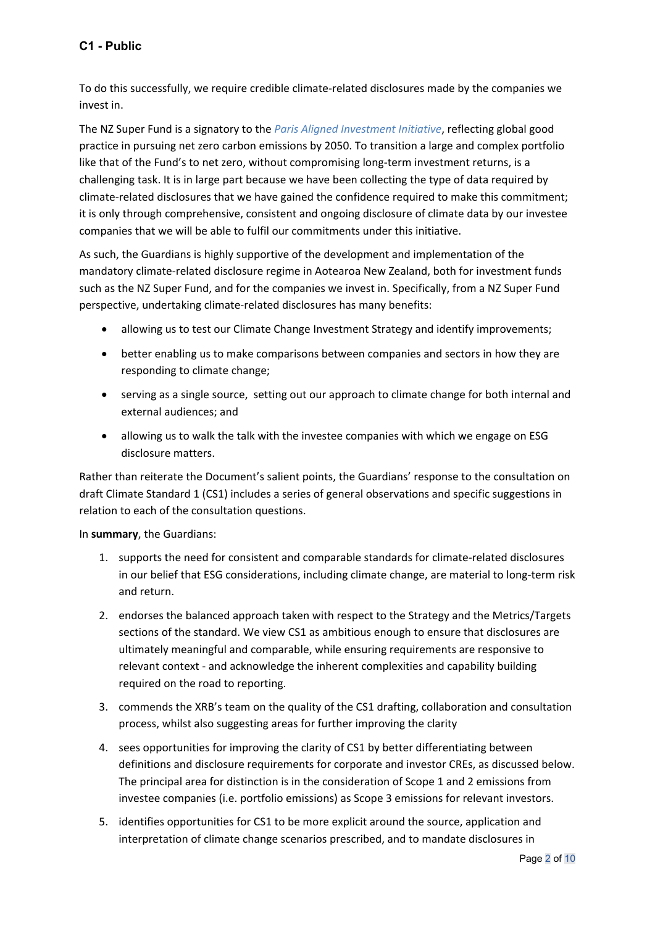# **C1 - Public**

To do this successfully, we require credible climate-related disclosures made by the companies we invest in.

The NZ Super Fund is a signatory to the *[Paris Aligned Investment Initiative](https://www.parisalignedinvestment.org/)*, reflecting global good practice in pursuing net zero carbon emissions by 2050. To transition a large and complex portfolio like that of the Fund's to net zero, without compromising long-term investment returns, is a challenging task. It is in large part because we have been collecting the type of data required by climate-related disclosures that we have gained the confidence required to make this commitment; it is only through comprehensive, consistent and ongoing disclosure of climate data by our investee companies that we will be able to fulfil our commitments under this initiative.

As such, the Guardians is highly supportive of the development and implementation of the mandatory climate-related disclosure regime in Aotearoa New Zealand, both for investment funds such as the NZ Super Fund, and for the companies we invest in. Specifically, from a NZ Super Fund perspective, undertaking climate-related disclosures has many benefits:

- allowing us to test our Climate Change Investment Strategy and identify improvements;
- better enabling us to make comparisons between companies and sectors in how they are responding to climate change;
- serving as a single source, setting out our approach to climate change for both internal and external audiences; and
- allowing us to walk the talk with the investee companies with which we engage on ESG disclosure matters.

Rather than reiterate the Document's salient points, the Guardians' response to the consultation on draft Climate Standard 1 (CS1) includes a series of general observations and specific suggestions in relation to each of the consultation questions.

In **summary**, the Guardians:

- 1. supports the need for consistent and comparable standards for climate-related disclosures in our belief that ESG considerations, including climate change, are material to long-term risk and return.
- 2. endorses the balanced approach taken with respect to the Strategy and the Metrics/Targets sections of the standard. We view CS1 as ambitious enough to ensure that disclosures are ultimately meaningful and comparable, while ensuring requirements are responsive to relevant context - and acknowledge the inherent complexities and capability building required on the road to reporting.
- 3. commends the XRB's team on the quality of the CS1 drafting, collaboration and consultation process, whilst also suggesting areas for further improving the clarity
- 4. sees opportunities for improving the clarity of CS1 by better differentiating between definitions and disclosure requirements for corporate and investor CREs, as discussed below. The principal area for distinction is in the consideration of Scope 1 and 2 emissions from investee companies (i.e. portfolio emissions) as Scope 3 emissions for relevant investors.
- 5. identifies opportunities for CS1 to be more explicit around the source, application and interpretation of climate change scenarios prescribed, and to mandate disclosures in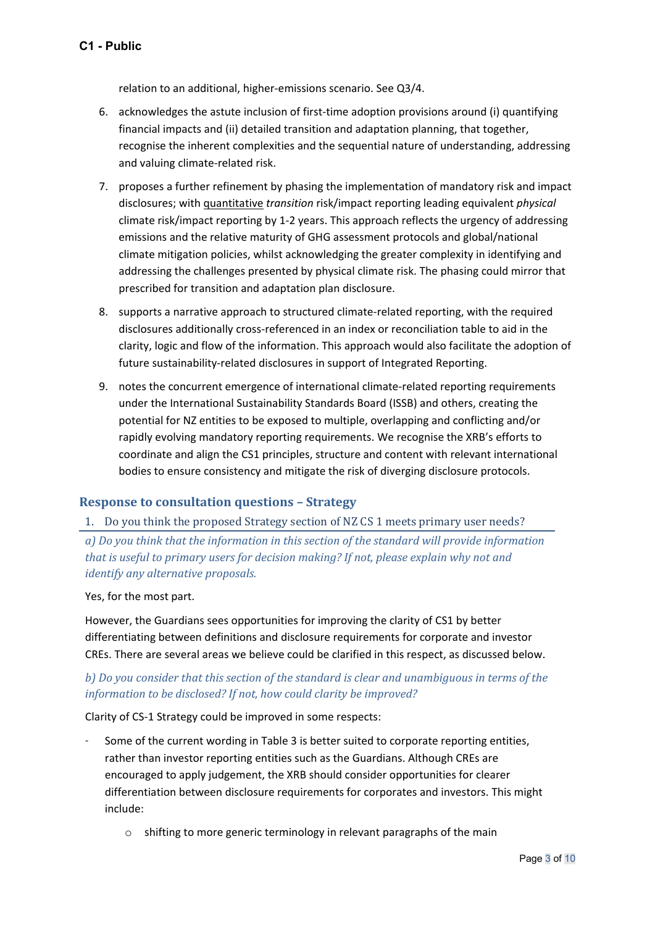relation to an additional, higher-emissions scenario. See Q3/4.

- 6. acknowledges the astute inclusion of first-time adoption provisions around (i) quantifying financial impacts and (ii) detailed transition and adaptation planning, that together, recognise the inherent complexities and the sequential nature of understanding, addressing and valuing climate-related risk.
- 7. proposes a further refinement by phasing the implementation of mandatory risk and impact disclosures; with quantitative *transition* risk/impact reporting leading equivalent *physical*  climate risk/impact reporting by 1-2 years. This approach reflects the urgency of addressing emissions and the relative maturity of GHG assessment protocols and global/national climate mitigation policies, whilst acknowledging the greater complexity in identifying and addressing the challenges presented by physical climate risk. The phasing could mirror that prescribed for transition and adaptation plan disclosure.
- 8. supports a narrative approach to structured climate-related reporting, with the required disclosures additionally cross-referenced in an index or reconciliation table to aid in the clarity, logic and flow of the information. This approach would also facilitate the adoption of future sustainability-related disclosures in support of Integrated Reporting.
- 9. notes the concurrent emergence of international climate-related reporting requirements under the International Sustainability Standards Board (ISSB) and others, creating the potential for NZ entities to be exposed to multiple, overlapping and conflicting and/or rapidly evolving mandatory reporting requirements. We recognise the XRB's efforts to coordinate and align the CS1 principles, structure and content with relevant international bodies to ensure consistency and mitigate the risk of diverging disclosure protocols.

### **Response to consultation questions – Strategy**

#### 1. Do you think the proposed Strategy section of NZ CS 1 meets primary user needs?

*a) Do you think that the information in this section of the standard will provide information that is useful to primary users for decision making? If not, please explain why not and identify any alternative proposals.*

Yes, for the most part.

However, the Guardians sees opportunities for improving the clarity of CS1 by better differentiating between definitions and disclosure requirements for corporate and investor CREs. There are several areas we believe could be clarified in this respect, as discussed below.

## *b) Do you consider that this section of the standard is clear and unambiguous in terms of the information to be disclosed? If not, how could clarity be improved?*

Clarity of CS-1 Strategy could be improved in some respects:

- Some of the current wording in Table 3 is better suited to corporate reporting entities, rather than investor reporting entities such as the Guardians. Although CREs are encouraged to apply judgement, the XRB should consider opportunities for clearer differentiation between disclosure requirements for corporates and investors. This might include:
	- o shifting to more generic terminology in relevant paragraphs of the main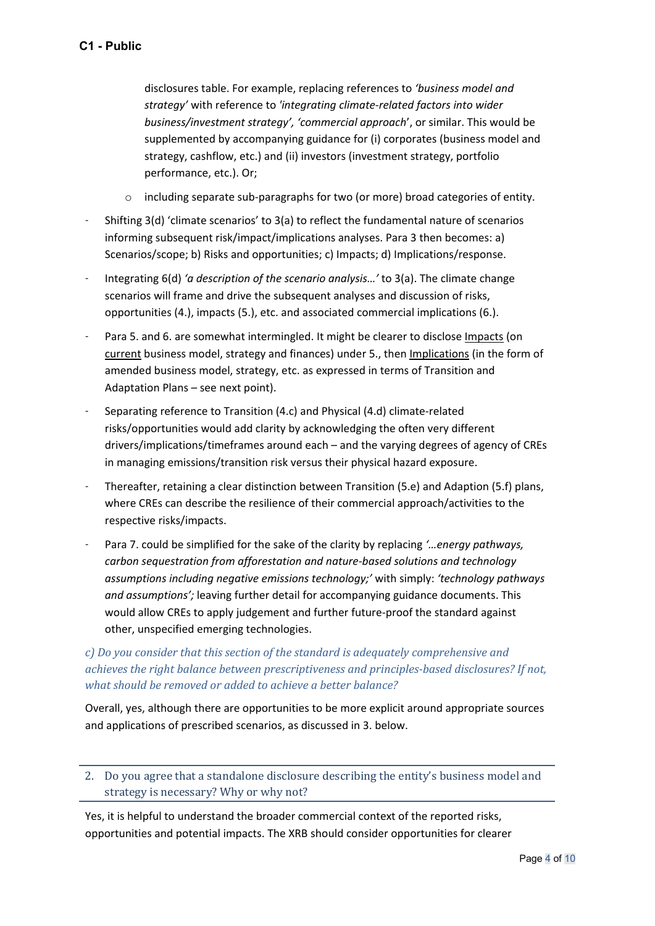disclosures table. For example, replacing references to *'business model and strategy'* with reference to *'integrating climate-related factors into wider business/investment strategy', 'commercial approach*', or similar. This would be supplemented by accompanying guidance for (i) corporates (business model and strategy, cashflow, etc.) and (ii) investors (investment strategy, portfolio performance, etc.). Or;

- $\circ$  including separate sub-paragraphs for two (or more) broad categories of entity.
- Shifting 3(d) 'climate scenarios' to 3(a) to reflect the fundamental nature of scenarios informing subsequent risk/impact/implications analyses. Para 3 then becomes: a) Scenarios/scope; b) Risks and opportunities; c) Impacts; d) Implications/response.
- Integrating 6(d) *'a description of the scenario analysis…'* to 3(a). The climate change scenarios will frame and drive the subsequent analyses and discussion of risks, opportunities (4.), impacts (5.), etc. and associated commercial implications (6.).
- Para 5. and 6. are somewhat intermingled. It might be clearer to disclose Impacts (on current business model, strategy and finances) under 5., then Implications (in the form of amended business model, strategy, etc. as expressed in terms of Transition and Adaptation Plans – see next point).
- Separating reference to Transition (4.c) and Physical (4.d) climate-related risks/opportunities would add clarity by acknowledging the often very different drivers/implications/timeframes around each – and the varying degrees of agency of CREs in managing emissions/transition risk versus their physical hazard exposure.
- Thereafter, retaining a clear distinction between Transition (5.e) and Adaption (5.f) plans, where CREs can describe the resilience of their commercial approach/activities to the respective risks/impacts.
- Para 7. could be simplified for the sake of the clarity by replacing *'…energy pathways, carbon sequestration from afforestation and nature-based solutions and technology assumptions including negative emissions technology;'* with simply: *'technology pathways and assumptions';* leaving further detail for accompanying guidance documents. This would allow CREs to apply judgement and further future-proof the standard against other, unspecified emerging technologies.

# *c) Do you consider that this section of the standard is adequately comprehensive and achieves the right balance between prescriptiveness and principles-based disclosures? If not, what should be removed or added to achieve a better balance?*

Overall, yes, although there are opportunities to be more explicit around appropriate sources and applications of prescribed scenarios, as discussed in 3. below.

## 2. Do you agree that a standalone disclosure describing the entity's business model and strategy is necessary? Why or why not?

Yes, it is helpful to understand the broader commercial context of the reported risks, opportunities and potential impacts. The XRB should consider opportunities for clearer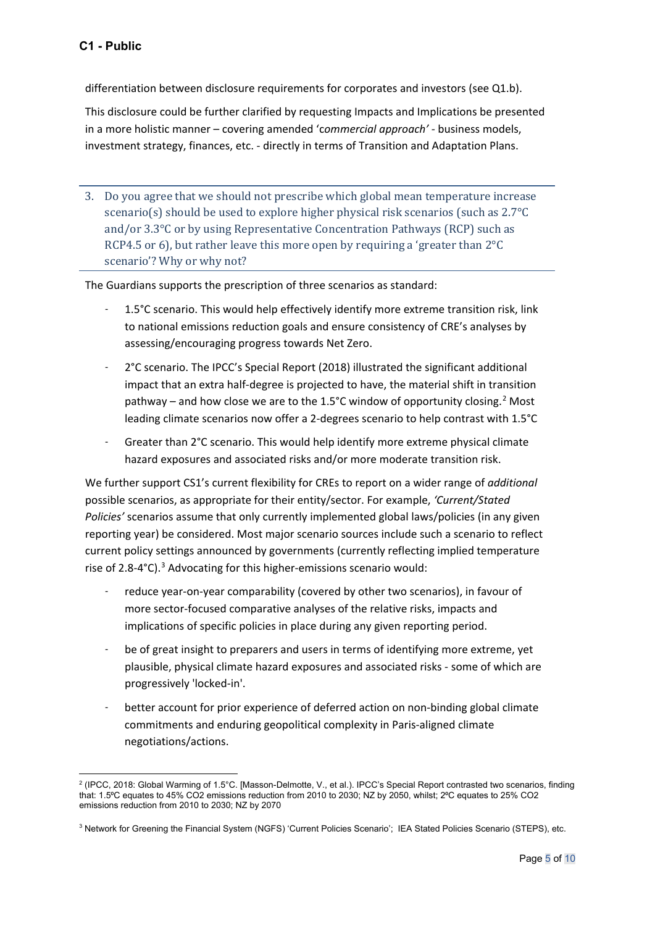differentiation between disclosure requirements for corporates and investors (see Q1.b).

This disclosure could be further clarified by requesting Impacts and Implications be presented in a more holistic manner – covering amended 'c*ommercial approach' -* business models, investment strategy, finances, etc. - directly in terms of Transition and Adaptation Plans.

3. Do you agree that we should not prescribe which global mean temperature increase scenario(s) should be used to explore higher physical risk scenarios (such as 2.7°C and/or 3.3°C or by using Representative Concentration Pathways (RCP) such as RCP4.5 or 6), but rather leave this more open by requiring a 'greater than 2°C scenario'? Why or why not?

The Guardians supports the prescription of three scenarios as standard:

- 1.5°C scenario. This would help effectively identify more extreme transition risk, link to national emissions reduction goals and ensure consistency of CRE's analyses by assessing/encouraging progress towards Net Zero.
- 2°C scenario. The IPCC's Special Report (2018) illustrated the significant additional impact that an extra half-degree is projected to have, the material shift in transition pathway – and how close we are to the 1.5°C window of opportunity closing.<sup>[2](#page-4-0)</sup> Most leading climate scenarios now offer a 2-degrees scenario to help contrast with 1.5°C
- Greater than 2°C scenario. This would help identify more extreme physical climate hazard exposures and associated risks and/or more moderate transition risk.

We further support CS1's current flexibility for CREs to report on a wider range of *additional*  possible scenarios, as appropriate for their entity/sector. For example, *'Current/Stated Policies'* scenarios assume that only currently implemented global laws/policies (in any given reporting year) be considered. Most major scenario sources include such a scenario to reflect current policy settings announced by governments (currently reflecting implied temperature rise of 2.8-4°C).<sup>[3](#page-4-1)</sup> Advocating for this higher-emissions scenario would:

- reduce vear-on-year comparability (covered by other two scenarios), in favour of more sector-focused comparative analyses of the relative risks, impacts and implications of specific policies in place during any given reporting period.
- be of great insight to preparers and users in terms of identifying more extreme, yet plausible, physical climate hazard exposures and associated risks - some of which are progressively 'locked-in'.
- better account for prior experience of deferred action on non-binding global climate commitments and enduring geopolitical complexity in Paris-aligned climate negotiations/actions.

<span id="page-4-0"></span><sup>2</sup> (IPCC, 2018: Global Warming of 1.5°C. [Masson-Delmotte, V., et al.). IPCC's Special Report contrasted two scenarios, finding that: 1.5°C equates to 45% CO2 emissions reduction from 2010 to 2030; NZ by 2050, whilst; 2°C equates to 25% CO2 emissions reduction from 2010 to 2030; NZ by 2070

<span id="page-4-1"></span><sup>&</sup>lt;sup>3</sup> Network for Greening the Financial System (NGFS) 'Current Policies Scenario'; IEA Stated Policies Scenario (STEPS), etc.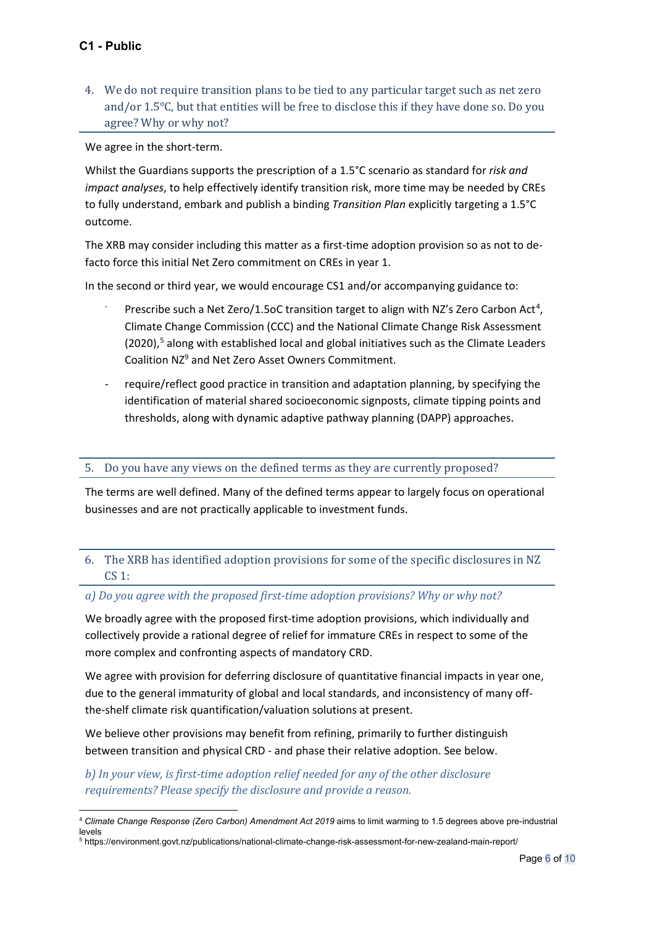4. We do not require transition plans to be tied to any particular target such as net zero and/or 1.5°C, but that entities will be free to disclose this if they have done so. Do you agree? Why or why not?

We agree in the short-term.

Whilst the Guardians supports the prescription of a 1.5°C scenario as standard for *risk and impact analyses*, to help effectively identify transition risk, more time may be needed by CREs to fully understand, embark and publish a binding *Transition Plan* explicitly targeting a 1.5°C outcome.

The XRB may consider including this matter as a first-time adoption provision so as not to defacto force this initial Net Zero commitment on CREs in year 1.

In the second or third year, we would encourage CS1 and/or accompanying guidance to:

- Prescribe such a Net Zero/1.5oC transition target to align with NZ's Zero Carbon Act<sup>[4](#page-5-0)</sup>, Climate Change Commission (CCC) and the National Climate Change Risk Assessment  $(2020)$ ,<sup>[5](#page-5-1)</sup> along with established local and global initiatives such as the Climate Leaders Coalition NZ9 and Net Zero Asset Owners Commitment.
- require/reflect good practice in transition and adaptation planning, by specifying the identification of material shared socioeconomic signposts, climate tipping points and thresholds, along with dynamic adaptive pathway planning (DAPP) approaches.

#### 5. Do you have any views on the defined terms as they are currently proposed?

The terms are well defined. Many of the defined terms appear to largely focus on operational businesses and are not practically applicable to investment funds.

## 6. The XRB has identified adoption provisions for some of the specific disclosures in NZ CS 1:

#### *a) Do you agree with the proposed first-time adoption provisions? Why or why not?*

We broadly agree with the proposed first-time adoption provisions, which individually and collectively provide a rational degree of relief for immature CREs in respect to some of the more complex and confronting aspects of mandatory CRD.

We agree with provision for deferring disclosure of quantitative financial impacts in year one, due to the general immaturity of global and local standards, and inconsistency of many offthe-shelf climate risk quantification/valuation solutions at present.

We believe other provisions may benefit from refining, primarily to further distinguish between transition and physical CRD - and phase their relative adoption. See below.

*b) In your view, is first-time adoption relief needed for any of the other disclosure requirements? Please specify the disclosure and provide a reason.*

<span id="page-5-0"></span><sup>&</sup>lt;sup>4</sup> Climate Change Response (Zero Carbon) Amendment Act 2019 aims to limit warming to 1.5 degrees above pre-industrial levels

<span id="page-5-1"></span><sup>5</sup> https://environment.govt.nz/publications/national-climate-change-risk-assessment-for-new-zealand-main-report/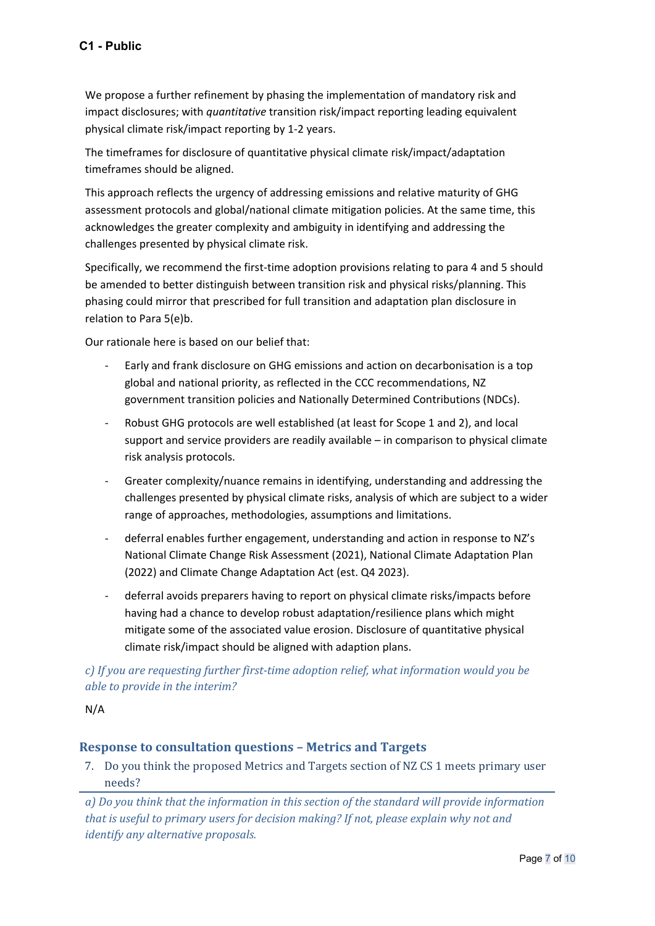We propose a further refinement by phasing the implementation of mandatory risk and impact disclosures; with *quantitative* transition risk/impact reporting leading equivalent physical climate risk/impact reporting by 1-2 years.

The timeframes for disclosure of quantitative physical climate risk/impact/adaptation timeframes should be aligned.

This approach reflects the urgency of addressing emissions and relative maturity of GHG assessment protocols and global/national climate mitigation policies. At the same time, this acknowledges the greater complexity and ambiguity in identifying and addressing the challenges presented by physical climate risk.

Specifically, we recommend the first-time adoption provisions relating to para 4 and 5 should be amended to better distinguish between transition risk and physical risks/planning. This phasing could mirror that prescribed for full transition and adaptation plan disclosure in relation to Para 5(e)b.

Our rationale here is based on our belief that:

- Early and frank disclosure on GHG emissions and action on decarbonisation is a top global and national priority, as reflected in the CCC recommendations, NZ government transition policies and Nationally Determined Contributions (NDCs).
- Robust GHG protocols are well established (at least for Scope 1 and 2), and local support and service providers are readily available – in comparison to physical climate risk analysis protocols.
- Greater complexity/nuance remains in identifying, understanding and addressing the challenges presented by physical climate risks, analysis of which are subject to a wider range of approaches, methodologies, assumptions and limitations.
- deferral enables further engagement, understanding and action in response to NZ's National Climate Change Risk Assessment (2021), National Climate Adaptation Plan (2022) and Climate Change Adaptation Act (est. Q4 2023).
- deferral avoids preparers having to report on physical climate risks/impacts before having had a chance to develop robust adaptation/resilience plans which might mitigate some of the associated value erosion. Disclosure of quantitative physical climate risk/impact should be aligned with adaption plans.

# *c) If you are requesting further first-time adoption relief, what information would you be able to provide in the interim?*

N/A

# **Response to consultation questions – Metrics and Targets**

7. Do you think the proposed Metrics and Targets section of NZ CS 1 meets primary user needs?

*a) Do you think that the information in this section of the standard will provide information that is useful to primary users for decision making? If not, please explain why not and identify any alternative proposals.*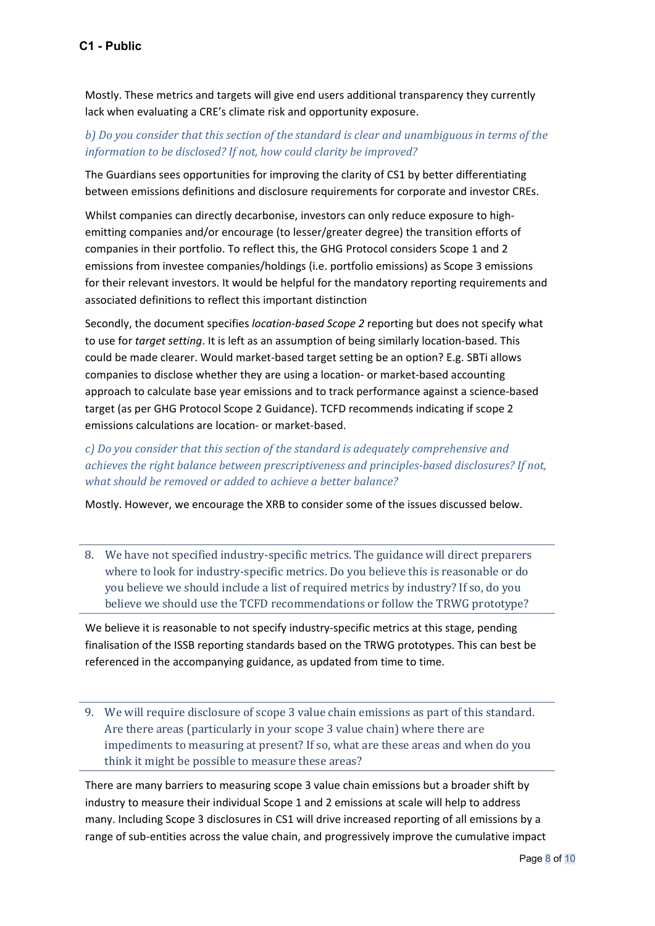Mostly. These metrics and targets will give end users additional transparency they currently lack when evaluating a CRE's climate risk and opportunity exposure.

## *b) Do you consider that this section of the standard is clear and unambiguous in terms of the information to be disclosed? If not, how could clarity be improved?*

The Guardians sees opportunities for improving the clarity of CS1 by better differentiating between emissions definitions and disclosure requirements for corporate and investor CREs.

Whilst companies can directly decarbonise, investors can only reduce exposure to highemitting companies and/or encourage (to lesser/greater degree) the transition efforts of companies in their portfolio. To reflect this, the GHG Protocol considers Scope 1 and 2 emissions from investee companies/holdings (i.e. portfolio emissions) as Scope 3 emissions for their relevant investors. It would be helpful for the mandatory reporting requirements and associated definitions to reflect this important distinction

Secondly, the document specifies *location-based Scope 2* reporting but does not specify what to use for *target setting*. It is left as an assumption of being similarly location-based. This could be made clearer. Would market-based target setting be an option? E.g. SBTi allows companies to disclose whether they are using a location- or market-based accounting approach to calculate base year emissions and to track performance against a science-based target (as per GHG Protocol Scope 2 Guidance). TCFD recommends indicating if scope 2 emissions calculations are location- or market-based.

*c) Do you consider that this section of the standard is adequately comprehensive and achieves the right balance between prescriptiveness and principles-based disclosures? If not, what should be removed or added to achieve a better balance?*

Mostly. However, we encourage the XRB to consider some of the issues discussed below.

8. We have not specified industry-specific metrics. The guidance will direct preparers where to look for industry-specific metrics. Do you believe this is reasonable or do you believe we should include a list of required metrics by industry? If so, do you believe we should use the TCFD recommendations or follow the TRWG prototype?

We believe it is reasonable to not specify industry-specific metrics at this stage, pending finalisation of the ISSB reporting standards based on the TRWG prototypes. This can best be referenced in the accompanying guidance, as updated from time to time.

9. We will require disclosure of scope 3 value chain emissions as part of this standard. Are there areas (particularly in your scope 3 value chain) where there are impediments to measuring at present? If so, what are these areas and when do you think it might be possible to measure these areas?

There are many barriers to measuring scope 3 value chain emissions but a broader shift by industry to measure their individual Scope 1 and 2 emissions at scale will help to address many. Including Scope 3 disclosures in CS1 will drive increased reporting of all emissions by a range of sub-entities across the value chain, and progressively improve the cumulative impact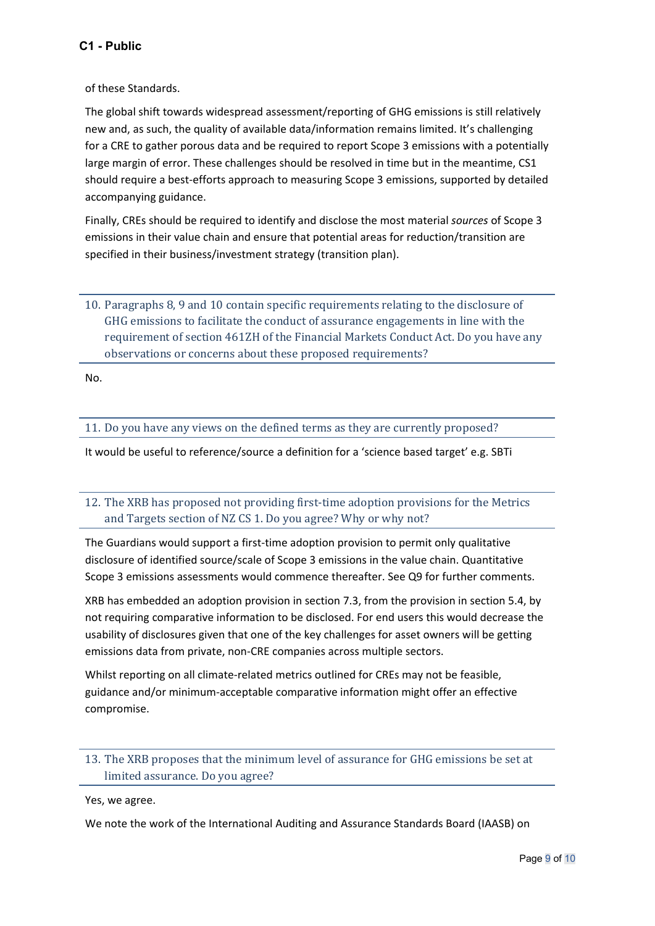of these Standards.

The global shift towards widespread assessment/reporting of GHG emissions is still relatively new and, as such, the quality of available data/information remains limited. It's challenging for a CRE to gather porous data and be required to report Scope 3 emissions with a potentially large margin of error. These challenges should be resolved in time but in the meantime, CS1 should require a best-efforts approach to measuring Scope 3 emissions, supported by detailed accompanying guidance.

Finally, CREs should be required to identify and disclose the most material *sources* of Scope 3 emissions in their value chain and ensure that potential areas for reduction/transition are specified in their business/investment strategy (transition plan).

10. Paragraphs 8, 9 and 10 contain specific requirements relating to the disclosure of GHG emissions to facilitate the conduct of assurance engagements in line with the requirement of section 461ZH of the Financial Markets Conduct Act. Do you have any observations or concerns about these proposed requirements?

No.

11. Do you have any views on the defined terms as they are currently proposed?

It would be useful to reference/source a definition for a 'science based target' e.g. SBTi

12. The XRB has proposed not providing first-time adoption provisions for the Metrics and Targets section of NZ CS 1. Do you agree? Why or why not?

The Guardians would support a first-time adoption provision to permit only qualitative disclosure of identified source/scale of Scope 3 emissions in the value chain. Quantitative Scope 3 emissions assessments would commence thereafter. See Q9 for further comments.

XRB has embedded an adoption provision in section 7.3, from the provision in section 5.4, by not requiring comparative information to be disclosed. For end users this would decrease the usability of disclosures given that one of the key challenges for asset owners will be getting emissions data from private, non-CRE companies across multiple sectors.

Whilst reporting on all climate-related metrics outlined for CREs may not be feasible, guidance and/or minimum-acceptable comparative information might offer an effective compromise.

13. The XRB proposes that the minimum level of assurance for GHG emissions be set at limited assurance. Do you agree?

Yes, we agree.

We note the work of the International Auditing and Assurance Standards Board (IAASB) on